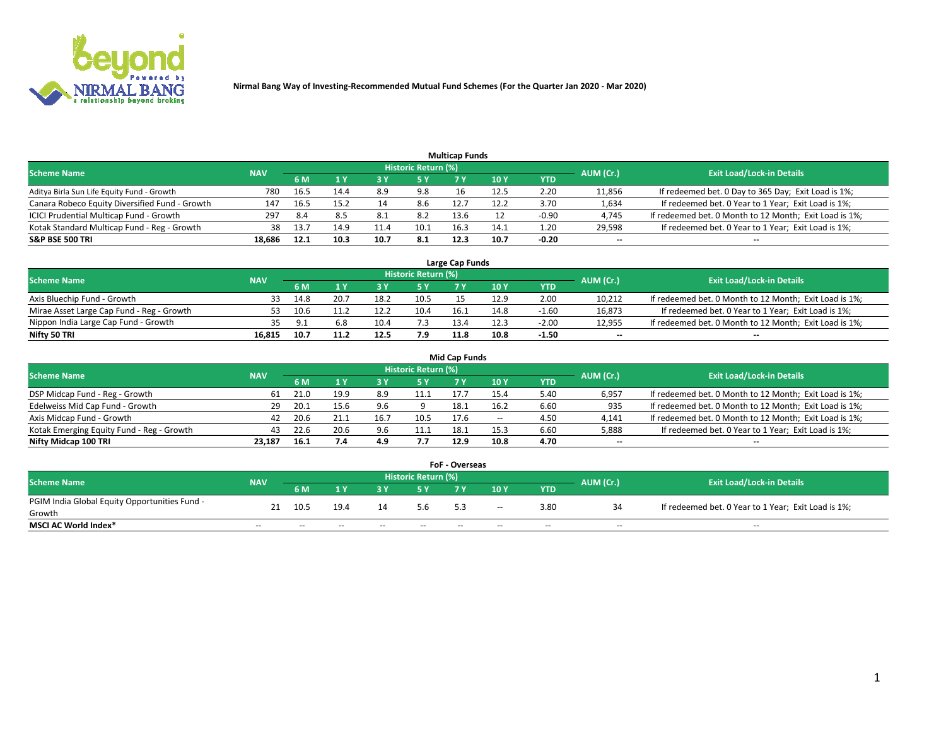

| <b>Multicap Funds</b>                          |            |      |           |      |                     |      |      |         |                          |                                                        |  |  |  |  |
|------------------------------------------------|------------|------|-----------|------|---------------------|------|------|---------|--------------------------|--------------------------------------------------------|--|--|--|--|
| Scheme Name                                    | <b>NAV</b> |      |           |      | Historic Return (%) |      |      |         | AUM (Cr.)                | <b>Exit Load/Lock-in Details</b>                       |  |  |  |  |
|                                                |            | 6 M  | <b>AV</b> |      | 5 Y                 |      | 10 ۱ | YTD     |                          |                                                        |  |  |  |  |
| Aditya Birla Sun Life Equity Fund - Growth     | 780        | 16.5 | 14.4      | 8.9  | 9.8                 |      | 12.5 | 2.20    | 11,856                   | If redeemed bet. 0 Day to 365 Day; Exit Load is 1%;    |  |  |  |  |
| Canara Robeco Equity Diversified Fund - Growth | 147        | 16.5 | 15.2      |      | 8.6                 | 12.7 | 12.2 | 3.70    | 1,634                    | If redeemed bet. 0 Year to 1 Year; Exit Load is 1%;    |  |  |  |  |
| ICICI Prudential Multicap Fund - Growth        | 297        | -8.4 | 8.5       | 8.1  | 8.2                 | 13.6 |      | $-0.90$ | 4,745                    | If redeemed bet. 0 Month to 12 Month; Exit Load is 1%; |  |  |  |  |
| Kotak Standard Multicap Fund - Reg - Growth    | 38         | 13.7 | 14.9      | 11.4 | 10.1                | 16.3 | 14.1 | 1.20    | 29,598                   | If redeemed bet. 0 Year to 1 Year; Exit Load is 1%;    |  |  |  |  |
| <b>S&amp;P BSE 500 TRI</b>                     | 18.686     | 12.1 | 10.3      | 10.7 | 8.1                 | 12.3 | 10.7 | $-0.20$ | $\overline{\phantom{a}}$ | $- -$                                                  |  |  |  |  |

| Large Cap Funds                           |            |      |      |      |                     |      |      |         |           |                                                        |  |  |  |  |
|-------------------------------------------|------------|------|------|------|---------------------|------|------|---------|-----------|--------------------------------------------------------|--|--|--|--|
| Scheme Name                               | <b>NAV</b> |      |      |      | Historic Return (%) |      |      |         | AUM (Cr.) | <b>Exit Load/Lock-in Details</b>                       |  |  |  |  |
|                                           |            | 6 M  |      |      | 5 Y                 |      | 10Y  | YTD     |           |                                                        |  |  |  |  |
| Axis Bluechip Fund - Growth               |            | 14.8 |      | 18.2 | 10.5                |      | 12.9 | 2.00    | 10,212    | If redeemed bet. 0 Month to 12 Month; Exit Load is 1%; |  |  |  |  |
| Mirae Asset Large Cap Fund - Reg - Growth | 53         | 10.6 |      |      | 10.4                | 16.1 | 14.8 | $-1.60$ | 16,873    | If redeemed bet. 0 Year to 1 Year; Exit Load is 1%;    |  |  |  |  |
| Nippon India Large Cap Fund - Growth      |            |      |      | 10.4 |                     | 13.4 | 12.3 | $-2.00$ | 12,955    | If redeemed bet. 0 Month to 12 Month; Exit Load is 1%; |  |  |  |  |
| Nifty 50 TRI                              | 16.815     | 10.7 | 11.2 | 12.5 | 7.9                 | 11.8 | 10.8 | $-1.50$ | $\sim$    | $\sim$                                                 |  |  |  |  |

|                                           |            |      |      |      |                     | <b>Mid Cap Funds</b> |        |            |           |                                                        |
|-------------------------------------------|------------|------|------|------|---------------------|----------------------|--------|------------|-----------|--------------------------------------------------------|
| <b>Scheme Name</b>                        | <b>NAV</b> |      |      |      | Historic Return (%) |                      |        |            | AUM (Cr.) | <b>Exit Load/Lock-in Details</b>                       |
|                                           |            | 6 M  |      |      |                     |                      | 10Y    | <b>YTD</b> |           |                                                        |
| DSP Midcap Fund - Reg - Growth            | 61         | 21.0 | 19.9 | 8.9  | 11.1                | 17.7                 | 15.4   | 5.40       | 6,957     | If redeemed bet. 0 Month to 12 Month; Exit Load is 1%; |
| Edelweiss Mid Cap Fund - Growth           |            | 20.1 | 15.6 | 9.6  |                     | 18.1                 | 16.2   | 6.60       | 935       | If redeemed bet. 0 Month to 12 Month; Exit Load is 1%; |
| Axis Midcap Fund - Growth                 | 42         | 20.6 |      | 16.7 | 10.5                | 17.6                 | $\sim$ | 4.50       | 4,141     | If redeemed bet. 0 Month to 12 Month; Exit Load is 1%; |
| Kotak Emerging Equity Fund - Reg - Growth | 43         | 22.6 | 20.6 | 9.6  | 11.1                | 18.1                 | 15.3   | 6.60       | 5,888     | If redeemed bet. 0 Year to 1 Year; Exit Load is 1%;    |
| Nifty Midcap 100 TRI                      | 23.187     | 16.1 | 7.4  | 4.9  | 7.7                 | 12.9                 | 10.8   | 4.70       | $\sim$    |                                                        |

| <b>FoF - Overseas</b>                         |            |       |       |                                  |       |     |        |            |           |                                                     |  |  |  |
|-----------------------------------------------|------------|-------|-------|----------------------------------|-------|-----|--------|------------|-----------|-----------------------------------------------------|--|--|--|
| <b>Scheme Name</b>                            | <b>NAV</b> |       |       | <b>Exit Load/Lock-in Details</b> |       |     |        |            |           |                                                     |  |  |  |
|                                               |            | 6 M   |       |                                  |       |     | 10Y    | <b>YTD</b> | AUM (Cr.) |                                                     |  |  |  |
| PGIM India Global Equity Opportunities Fund - |            | 10.5  | 19.4  | 14                               | 5.6   |     | $\sim$ | 3.80       |           | If redeemed bet. 0 Year to 1 Year; Exit Load is 1%; |  |  |  |
| Growth                                        | 21         |       |       |                                  |       | 5.3 |        |            |           |                                                     |  |  |  |
| <b>MSCI AC World Index*</b>                   | $- -$      | $- -$ | $- -$ | $- -$                            | $- -$ | --  | $- -$  | $- -$      | $- -$     | $- -$                                               |  |  |  |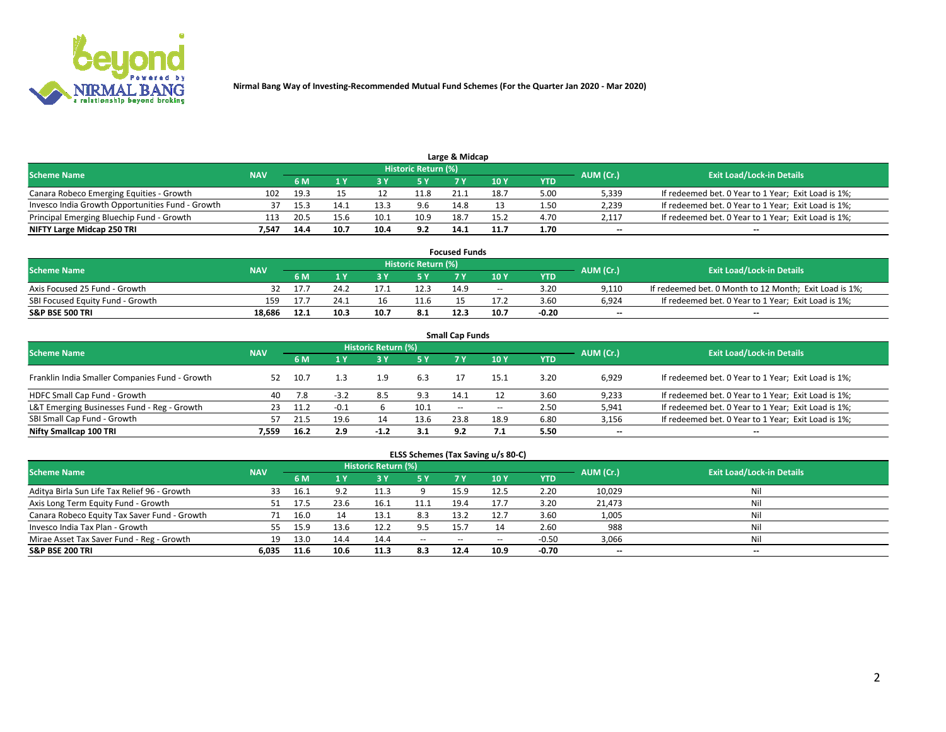

| Large & Midcap                                   |            |      |      |      |                     |      |      |      |           |                                                     |  |  |  |
|--------------------------------------------------|------------|------|------|------|---------------------|------|------|------|-----------|-----------------------------------------------------|--|--|--|
| <b>Scheme Name</b>                               | <b>NAV</b> |      |      |      | Historic Return (%) |      |      |      | AUM (Cr.) | <b>Exit Load/Lock-in Details</b>                    |  |  |  |
|                                                  |            | 6 M  |      |      |                     |      | 10 Y | YTD  |           |                                                     |  |  |  |
| Canara Robeco Emerging Equities - Growth         | 102        | 19.3 |      |      | 11.8                | 21.1 | 18.7 | 5.00 | 5,339     | If redeemed bet. 0 Year to 1 Year; Exit Load is 1%; |  |  |  |
| Invesco India Growth Opportunities Fund - Growth |            | 15.3 |      | 13.3 |                     | 14.8 |      | 1.50 | 2,239     | If redeemed bet. 0 Year to 1 Year; Exit Load is 1%; |  |  |  |
| Principal Emerging Bluechip Fund - Growth        | 113        | 20.5 | 15.6 | 10.1 | 10.9                | 18.7 | 15.2 | 4.70 | 2,117     | If redeemed bet. 0 Year to 1 Year; Exit Load is 1%; |  |  |  |
| NIFTY Large Midcap 250 TRI                       | 7.547      | 14.4 | 10.7 | 10.4 | 9.2                 | 14.1 | 11.7 | 1.70 | $- -$     | $- -$                                               |  |  |  |

| <b>Focused Funds</b>             |            |      |      |  |                     |      |       |            |           |                                                        |  |  |  |
|----------------------------------|------------|------|------|--|---------------------|------|-------|------------|-----------|--------------------------------------------------------|--|--|--|
| <b>Scheme Name</b>               | <b>NAV</b> |      |      |  | Historic Return (%) |      |       |            | AUM (Cr.) | <b>Exit Load/Lock-in Details</b>                       |  |  |  |
|                                  |            | 6 M  |      |  |                     |      | 10 Y  | <b>YTD</b> |           |                                                        |  |  |  |
| Axis Focused 25 Fund - Growth    |            |      | 24.2 |  | 12.3                | 14.9 | $- -$ | 3.20       | 9.110     | If redeemed bet. 0 Month to 12 Month; Exit Load is 1%; |  |  |  |
| SBI Focused Equity Fund - Growth | 159        |      | 24.1 |  | 11 <sup>1</sup>     |      | 17.2  | 3.60       | 6.924     | If redeemed bet. 0 Year to 1 Year; Exit Load is 1%;    |  |  |  |
| <b>S&amp;P BSE 500 TRI</b>       | 18.686     | 12.1 | 10.3 |  | -8.1                | 12.3 | 10.7  | $-0.20$    | $\sim$    | $- -$                                                  |  |  |  |

| <b>Small Cap Funds</b>                         |            |       |        |                     |      |       |       |            |           |                                                     |  |  |  |
|------------------------------------------------|------------|-------|--------|---------------------|------|-------|-------|------------|-----------|-----------------------------------------------------|--|--|--|
| <b>Scheme Name</b>                             | <b>NAV</b> |       |        | Historic Return (%) |      |       |       |            | AUM (Cr.) | <b>Exit Load/Lock-in Details</b>                    |  |  |  |
|                                                |            | 6 M   |        |                     | 5 Y  |       | 10Y   | <b>YTD</b> |           |                                                     |  |  |  |
| Franklin India Smaller Companies Fund - Growth | 52         | 10.7  |        | 1.9                 | 6.3  |       | 15.1  | 3.20       | 6,929     | If redeemed bet. 0 Year to 1 Year; Exit Load is 1%; |  |  |  |
| HDFC Small Cap Fund - Growth                   | 40         | 7.8   | $-3.2$ | 8.5                 | 9.3  | 14.1  |       | 3.60       | 9,233     | If redeemed bet. 0 Year to 1 Year; Exit Load is 1%; |  |  |  |
| L&T Emerging Businesses Fund - Reg - Growth    | 23         | -11.2 | $-0.1$ |                     | 10.1 | $- -$ | $- -$ | 2.50       | 5,941     | If redeemed bet. 0 Year to 1 Year; Exit Load is 1%; |  |  |  |
| SBI Small Cap Fund - Growth                    | 57         |       | 19.6   |                     | 13.6 | 23.8  | 18.9  | 6.80       | 3,156     | If redeemed bet. 0 Year to 1 Year; Exit Load is 1%; |  |  |  |
| Nifty Smallcap 100 TRI                         | 7.559      | 16.2  | 2.9    | $-1.2$              |      | 9.2   |       | 5.50       | $\sim$    | $- -$                                               |  |  |  |

## **ELSS Schemes (Tax Saving u/s 80-C)**

| <b>Scheme Name</b>                           | <b>NAV</b> |      |      | <b>Historic Return (%)</b> |           |                          |        |         | AUM (Cr.) | <b>Exit Load/Lock-in Details</b> |
|----------------------------------------------|------------|------|------|----------------------------|-----------|--------------------------|--------|---------|-----------|----------------------------------|
|                                              |            | 6 M  | 4 Y  | 73 Y                       | <b>5Y</b> | 7 Y                      | $-10V$ | YTD     |           |                                  |
| Aditya Birla Sun Life Tax Relief 96 - Growth |            | 16.1 |      | 11.3                       |           | 15.9                     | 12.5   | 2.20    | 10,029    | Nil                              |
| Axis Long Term Equity Fund - Growth          |            | 17.5 | 23.6 | 16.1                       | 11.1      | 19.4                     | 17.7   | 3.20    | 21,473    | Nil                              |
| Canara Robeco Equity Tax Saver Fund - Growth |            | 16.0 |      | 13.1                       | 8.3       | 13.2                     |        | 3.60    | 1,005     | Nil                              |
| Invesco India Tax Plan - Growth              | 55         | 15.9 | 13.6 | 12.2                       | 9.5       | 15.                      |        | 2.60    | 988       | Nil                              |
| Mirae Asset Tax Saver Fund - Reg - Growth    | 19         | 13.0 | 14.4 | 14.4                       | $\sim$    | $\overline{\phantom{a}}$ | --     | $-0.50$ | 3,066     | Nil                              |
| <b>S&amp;P BSE 200 TRI</b>                   | 6.035      | 11.6 | 10.6 | 11.3                       | 8.3       | 12.4                     | 10.9   | $-0.70$ | $-$       | $- -$                            |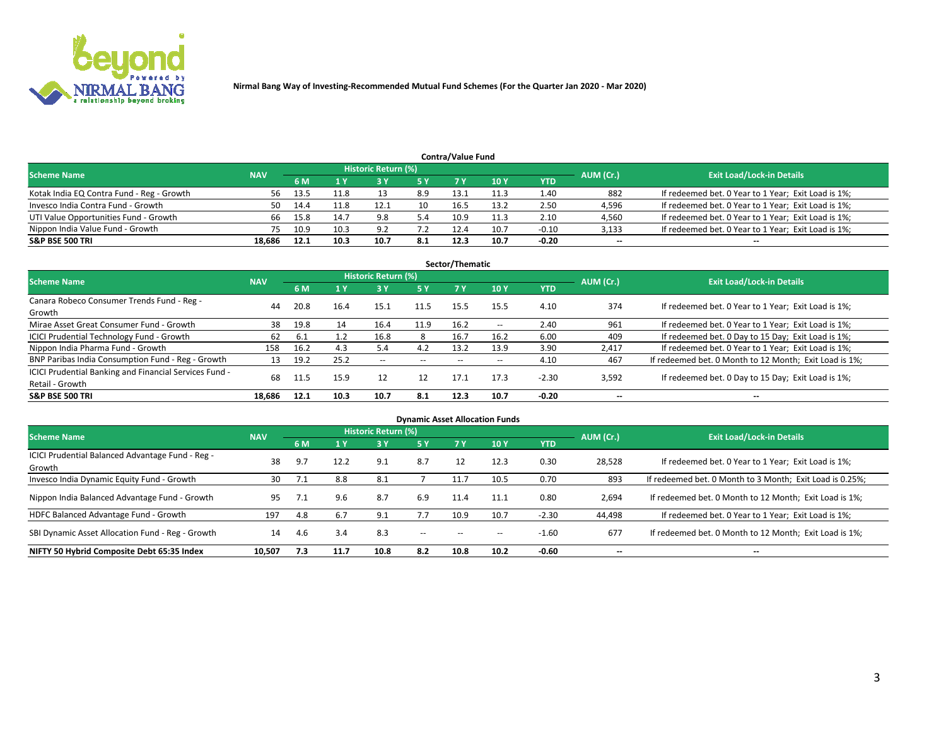

| <b>Contra/Value Fund</b><br>Historic Return (%) |            |      |           |                                  |     |      |      |         |        |                                                     |  |  |  |  |
|-------------------------------------------------|------------|------|-----------|----------------------------------|-----|------|------|---------|--------|-----------------------------------------------------|--|--|--|--|
| <b>Scheme Name</b>                              | <b>NAV</b> |      | AUM (Cr.) | <b>Exit Load/Lock-in Details</b> |     |      |      |         |        |                                                     |  |  |  |  |
|                                                 |            | 6 M  |           |                                  | 5 Y | 7 Y  | 10Y  | YTD     |        |                                                     |  |  |  |  |
| Kotak India EQ Contra Fund - Reg - Growth       | 56         | 13.5 | 11.8      |                                  | 8.9 | 13.1 | 11.3 | 1.40    | 882    | If redeemed bet. 0 Year to 1 Year; Exit Load is 1%; |  |  |  |  |
| Invesco India Contra Fund - Growth              | 50         | 14.4 | L1.8      |                                  | 10  | 16.5 | 13.2 | 2.50    | 4,596  | If redeemed bet. 0 Year to 1 Year; Exit Load is 1%; |  |  |  |  |
| UTI Value Opportunities Fund - Growth           | 66         | 15.8 | 14.7      | 9.8                              | 5.4 | 10.9 | 11.3 | 2.10    | 4,560  | If redeemed bet. 0 Year to 1 Year; Exit Load is 1%; |  |  |  |  |
| Nippon India Value Fund - Growth                |            | 10.9 | 10.3      | ΩC                               |     | 12.4 | 10.7 | $-0.10$ | 3,133  | If redeemed bet. 0 Year to 1 Year; Exit Load is 1%; |  |  |  |  |
| <b>S&amp;P BSE 500 TRI</b>                      | 18.686     | 12.1 | 10.3      | 10.7                             | 8.1 | 12.3 | 10.7 | $-0.20$ | $\sim$ | $- -$                                               |  |  |  |  |

| Sector/Thematic                                                           |            |      |      |                     |           |       |                          |            |                          |                                                        |  |  |  |
|---------------------------------------------------------------------------|------------|------|------|---------------------|-----------|-------|--------------------------|------------|--------------------------|--------------------------------------------------------|--|--|--|
| <b>Scheme Name</b>                                                        | <b>NAV</b> |      |      | Historic Return (%) |           |       |                          |            | AUM (Cr.)                | <b>Exit Load/Lock-in Details</b>                       |  |  |  |
|                                                                           |            | 6 M  | 1 Y  | 73 Y                | <b>5Y</b> | 7 Y   | 10Y                      | <b>YTD</b> |                          |                                                        |  |  |  |
| Canara Robeco Consumer Trends Fund - Reg -<br>Growth                      | 44         | 20.8 | 16.4 | 15.1                | 11.5      | 15.5  | 15.5                     | 4.10       | 374                      | If redeemed bet. 0 Year to 1 Year; Exit Load is 1%;    |  |  |  |
| Mirae Asset Great Consumer Fund - Growth                                  | 38         | 19.8 | 14   | 16.4                | 11.9      | 16.2  | $\overline{\phantom{a}}$ | 2.40       | 961                      | If redeemed bet. 0 Year to 1 Year; Exit Load is 1%;    |  |  |  |
| ICICI Prudential Technology Fund - Growth                                 | 62         | 6.1  |      | 16.8                | 8         | 16.7  | 16.2                     | 6.00       | 409                      | If redeemed bet. 0 Day to 15 Day; Exit Load is 1%;     |  |  |  |
| Nippon India Pharma Fund - Growth                                         | 158        | 16.2 | 4.3  | 5.4                 | 4.2       | 13.2  | 13.9                     | 3.90       | 2,417                    | If redeemed bet. 0 Year to 1 Year; Exit Load is 1%;    |  |  |  |
| BNP Paribas India Consumption Fund - Reg - Growth                         | 13         | 19.2 | 25.2 | $- -$               | $- -$     | $- -$ | $- -$                    | 4.10       | 467                      | If redeemed bet. 0 Month to 12 Month; Exit Load is 1%; |  |  |  |
| ICICI Prudential Banking and Financial Services Fund -<br>Retail - Growth | 68         | 11.5 | 15.9 | 12                  | 12        | 17.1  | 17.3                     | $-2.30$    | 3,592                    | If redeemed bet. 0 Day to 15 Day; Exit Load is 1%;     |  |  |  |
| <b>S&amp;P BSE 500 TRI</b>                                                | 18.686     | 12.1 | 10.3 | 10.7                | 8.1       | 12.3  | 10.7                     | $-0.20$    | $\overline{\phantom{a}}$ | $\overline{\phantom{a}}$                               |  |  |  |

| <b>Dynamic Asset Allocation Funds</b>                      |            |     |      |                     |        |           |      |            |                          |                                                          |  |  |  |
|------------------------------------------------------------|------------|-----|------|---------------------|--------|-----------|------|------------|--------------------------|----------------------------------------------------------|--|--|--|
| <b>Scheme Name</b>                                         | <b>NAV</b> |     |      | Historic Return (%) |        |           |      |            | AUM (Cr.)                | <b>Exit Load/Lock-in Details</b>                         |  |  |  |
|                                                            |            | 6 M |      | 3 Y                 | 5 Y    | <b>7Y</b> | 10Y  | <b>YTD</b> |                          |                                                          |  |  |  |
| ICICI Prudential Balanced Advantage Fund - Reg -<br>Growth | 38         | 9.7 | 12.2 | 9.1                 | 8.7    | 12        | 12.3 | 0.30       | 28,528                   | If redeemed bet. 0 Year to 1 Year; Exit Load is 1%;      |  |  |  |
| Invesco India Dynamic Equity Fund - Growth                 | 30         |     | 8.8  | 8.1                 |        | 11.7      | 10.5 | 0.70       | 893                      | If redeemed bet. 0 Month to 3 Month; Exit Load is 0.25%; |  |  |  |
| Nippon India Balanced Advantage Fund - Growth              | 95         |     | 9.6  | 8.7                 | 6.9    | 11.4      | 11.1 | 0.80       | 2,694                    | If redeemed bet. 0 Month to 12 Month; Exit Load is 1%;   |  |  |  |
| HDFC Balanced Advantage Fund - Growth                      | 197        | 4.8 | 6.7  | 9.1                 | 7.7    | 10.9      | 10.7 | $-2.30$    | 44,498                   | If redeemed bet. 0 Year to 1 Year; Exit Load is 1%;      |  |  |  |
| SBI Dynamic Asset Allocation Fund - Reg - Growth           | 14         | 4.6 | 3.4  | 8.3                 | $\sim$ | $- -$     | --   | $-1.60$    | 677                      | If redeemed bet. 0 Month to 12 Month; Exit Load is 1%;   |  |  |  |
| NIFTY 50 Hybrid Composite Debt 65:35 Index                 | 10,507     | 7.3 | 11.7 | 10.8                | 8.2    | 10.8      | 10.2 | $-0.60$    | $\overline{\phantom{a}}$ | $- -$                                                    |  |  |  |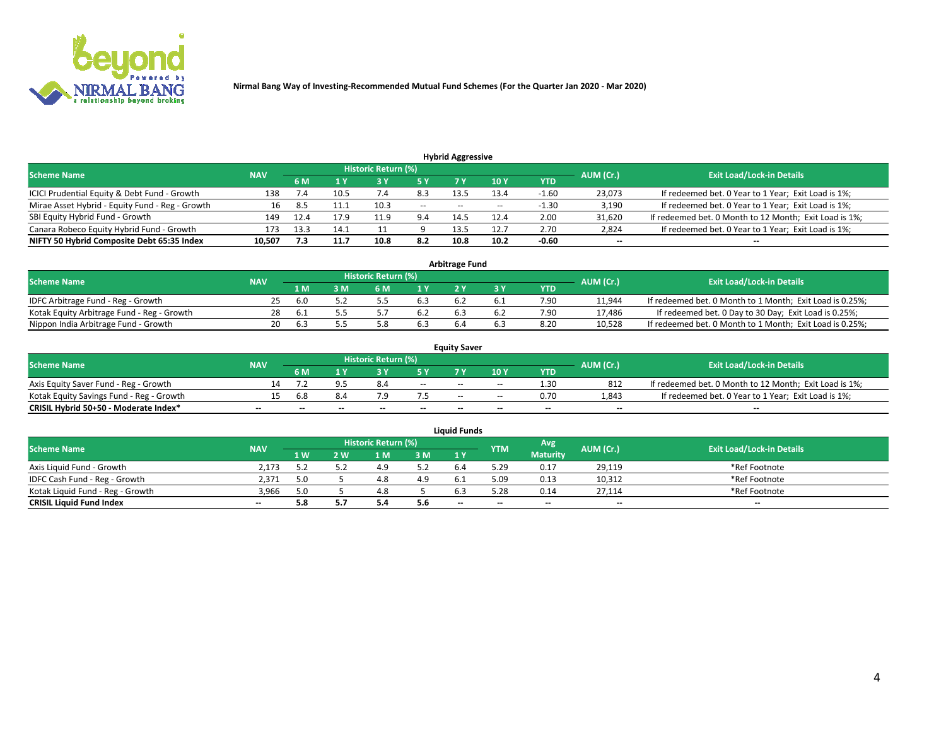

| <b>Hybrid Aggressive</b>                        |            |      |      |                     |       |       |                 |         |                          |                                                        |  |  |  |  |
|-------------------------------------------------|------------|------|------|---------------------|-------|-------|-----------------|---------|--------------------------|--------------------------------------------------------|--|--|--|--|
| <b>Scheme Name</b>                              | <b>NAV</b> |      |      | Historic Return (%) |       |       |                 |         | AUM (Cr.)                | <b>Exit Load/Lock-in Details</b>                       |  |  |  |  |
|                                                 |            | 6 M  |      |                     | 5 Y   | 7 Y   | 10 <sub>Y</sub> | YTD     |                          |                                                        |  |  |  |  |
| ICICI Prudential Equity & Debt Fund - Growth    | 138        |      | 10.5 | 7.4                 | 8.3   | 13.5  | 13.4            | $-1.60$ | 23,073                   | If redeemed bet. 0 Year to 1 Year; Exit Load is 1%;    |  |  |  |  |
| Mirae Asset Hybrid - Equity Fund - Reg - Growth |            | 8.5  | 11.1 | 10.3                | $- -$ | $- -$ | $- -$           | $-1.30$ | 3,190                    | If redeemed bet. 0 Year to 1 Year; Exit Load is 1%;    |  |  |  |  |
| SBI Equity Hybrid Fund - Growth                 | 149        | 12.4 |      | 11.9                | 9.4   | 14.5  | 12.4            | 2.00    | 31,620                   | If redeemed bet. 0 Month to 12 Month; Exit Load is 1%; |  |  |  |  |
| Canara Robeco Equity Hybrid Fund - Growth       | 173        | 13.3 | 14.1 |                     |       | 13.5  | 12.7            | 2.70    | 2,824                    | If redeemed bet. 0 Year to 1 Year; Exit Load is 1%;    |  |  |  |  |
| NIFTY 50 Hybrid Composite Debt 65:35 Index      | 10,507     | 7.3  | 11.7 | 10.8                | 8.2   | 10.8  | 10.2            | $-0.60$ | $\overline{\phantom{a}}$ | $- -$                                                  |  |  |  |  |

| <b>Arbitrage Fund</b>                      |            |       |     |                     |     |     |  |      |           |                                                          |  |  |  |  |
|--------------------------------------------|------------|-------|-----|---------------------|-----|-----|--|------|-----------|----------------------------------------------------------|--|--|--|--|
| Scheme Name                                | <b>NAV</b> |       |     | Historic Return (%) |     |     |  |      | AUM (Cr.) | <b>Exit Load/Lock-in Details</b>                         |  |  |  |  |
|                                            |            | 1 M   | ያ M | 6 M                 |     | າ v |  | YTD  |           |                                                          |  |  |  |  |
| IDFC Arbitrage Fund - Reg - Growth         | 25         | 6.0   |     |                     | 6.3 |     |  | 7.90 | 11,944    | If redeemed bet. 0 Month to 1 Month; Exit Load is 0.25%; |  |  |  |  |
| Kotak Equity Arbitrage Fund - Reg - Growth | 28         | - 6.1 |     |                     | 6.2 | 6.3 |  | 7.90 | 17.486    | If redeemed bet. 0 Day to 30 Day; Exit Load is 0.25%;    |  |  |  |  |
| Nippon India Arbitrage Fund - Growth       | 20         | h.    |     |                     | 6.3 |     |  | 8.20 | 10.528    | If redeemed bet. 0 Month to 1 Month; Exit Load is 0.25%; |  |  |  |  |

|                                          | <b>Equity Saver</b> |           |                                  |                          |                          |        |        |            |                          |                                                        |  |  |  |  |  |
|------------------------------------------|---------------------|-----------|----------------------------------|--------------------------|--------------------------|--------|--------|------------|--------------------------|--------------------------------------------------------|--|--|--|--|--|
| Scheme Name                              | <b>NAV</b>          | AUM (Cr.) | <b>Exit Load/Lock-in Details</b> |                          |                          |        |        |            |                          |                                                        |  |  |  |  |  |
|                                          |                     | 6 M       |                                  |                          | 5 Y                      |        | 10 Y   | <b>YTD</b> |                          |                                                        |  |  |  |  |  |
| Axis Equity Saver Fund - Reg - Growth    |                     |           |                                  |                          | $\sim$                   | $- -$  | $\sim$ | 1.30       | 812                      | If redeemed bet. 0 Month to 12 Month; Exit Load is 1%; |  |  |  |  |  |
| Kotak Equity Savings Fund - Reg - Growth |                     | 6.8       |                                  |                          |                          | $- -$  | $- -$  | 0.70       | 1,843                    | If redeemed bet. 0 Year to 1 Year; Exit Load is 1%;    |  |  |  |  |  |
| CRISIL Hybrid 50+50 - Moderate Index*    |                     | --        | $-$                              | $\overline{\phantom{a}}$ | $\overline{\phantom{a}}$ | $\sim$ | --     | $\sim$     | $\overline{\phantom{a}}$ | $-$                                                    |  |  |  |  |  |

| <b>Liquid Funds</b>              |            |      |     |                            |     |                          |            |                 |           |                                  |  |  |  |  |
|----------------------------------|------------|------|-----|----------------------------|-----|--------------------------|------------|-----------------|-----------|----------------------------------|--|--|--|--|
| Scheme Name                      | <b>NAV</b> |      |     | <b>Historic Return (%)</b> |     |                          | <b>YTM</b> | Avg             | AUM (Cr.) | <b>Exit Load/Lock-in Details</b> |  |  |  |  |
|                                  |            | 1 W. | ว พ | 1 M                        | 3 M | 1 Y                      |            | <b>Maturity</b> |           |                                  |  |  |  |  |
| Axis Liquid Fund - Growth        | 2.173      |      |     |                            | 5.2 |                          | 5.29       | 0.17            | 29,119    | *Ref Footnote                    |  |  |  |  |
| IDFC Cash Fund - Reg - Growth    | 2.371      | 5.0  |     |                            | 4.9 |                          | 5.09       | 0.13            | 10,312    | *Ref Footnote                    |  |  |  |  |
| Kotak Liquid Fund - Reg - Growth | 3,966      | 5.0  |     |                            |     |                          | 5.28       | 0.14            | 27,114    | *Ref Footnote                    |  |  |  |  |
| <b>CRISIL Liquid Fund Index</b>  | $- -$      |      |     | <b></b>                    | 5.6 | $\overline{\phantom{a}}$ | $- -$      | $- -$           | $-$       | $\sim$                           |  |  |  |  |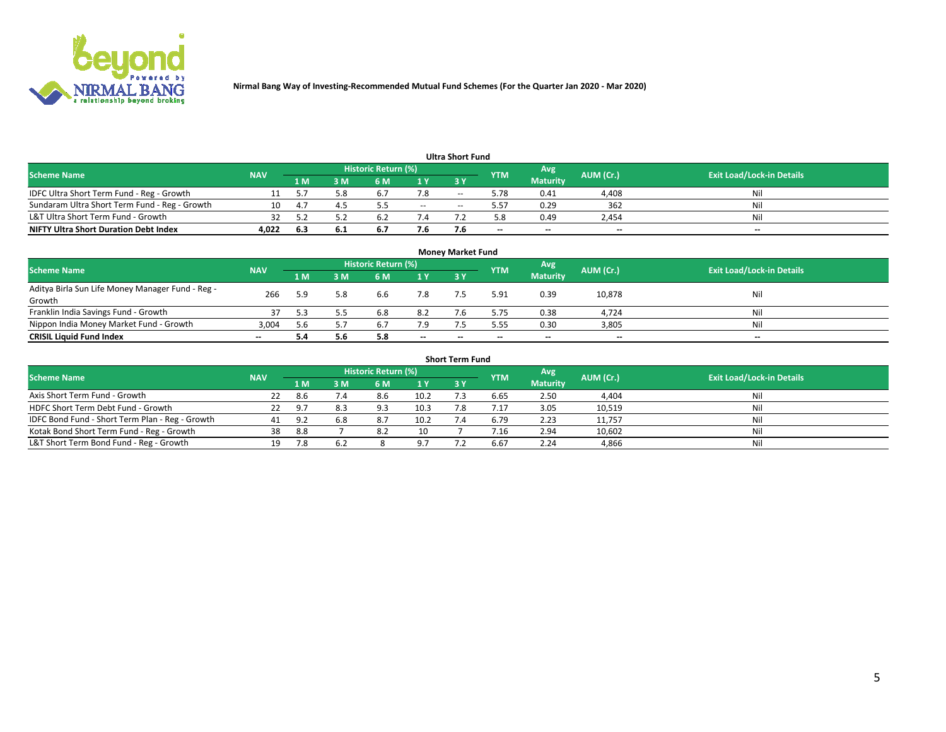

| <b>Ultra Short Fund</b>                       |            |          |      |                     |       |       |            |                 |           |                                  |  |  |  |  |
|-----------------------------------------------|------------|----------|------|---------------------|-------|-------|------------|-----------------|-----------|----------------------------------|--|--|--|--|
| <b>Scheme Name</b>                            | <b>NAV</b> |          |      | Historic Return (%) |       |       | <b>YTM</b> | Avg             | AUM (Cr.) | <b>Exit Load/Lock-in Details</b> |  |  |  |  |
|                                               |            | 1 M      | 3 M  | 6 M                 | 1 Y   | 3 Y   |            | <b>Maturity</b> |           |                                  |  |  |  |  |
| IDFC Ultra Short Term Fund - Reg - Growth     |            |          | 5.8  | $b_{\cdot}$         | 7.8   | $- -$ | 5.78       | 0.41            | 4,408     | Nil                              |  |  |  |  |
| Sundaram Ultra Short Term Fund - Reg - Growth |            | $\Delta$ |      |                     | $- -$ | --    | 5.57       | 0.29            | 362       | Nil                              |  |  |  |  |
| L&T Ultra Short Term Fund - Growth            |            |          |      |                     |       |       | 5.8        | 0.49            | 2,454     | Nil                              |  |  |  |  |
| <b>NIFTY Ultra Short Duration Debt Index</b>  | 4,022      | -6.3     | -6.1 | <b>D.</b>           | 7.6   |       | $\sim$     | $\sim$          | $\sim$    | $- -$                            |  |  |  |  |

| <b>Money Market Fund</b>                         |            |     |     |                     |        |    |            |                 |           |                                  |  |  |  |
|--------------------------------------------------|------------|-----|-----|---------------------|--------|----|------------|-----------------|-----------|----------------------------------|--|--|--|
| <b>Scheme Name</b>                               | <b>NAV</b> |     |     | Historic Return (%) |        |    | <b>YTM</b> | 'Avg            | AUM (Cr.) | <b>Exit Load/Lock-in Details</b> |  |  |  |
|                                                  |            | 1 M | 3 M | 6 M                 | 1 Y    | 3Y |            | <b>Maturity</b> |           |                                  |  |  |  |
| Aditya Birla Sun Life Money Manager Fund - Reg - | 266        | 5.9 | 5.8 | 6.6                 | 7.8    |    | 5.91       | 0.39            | 10,878    | Nil                              |  |  |  |
| Growth<br>Franklin India Savings Fund - Growth   |            |     |     | 6.8                 | 8.2    |    | 5.75       | 0.38            | 4,724     | Nil                              |  |  |  |
| Nippon India Money Market Fund - Growth          | 3,004      | 5.6 |     | 6.7                 | 7.9    |    | 5.55       | 0.30            | 3,805     | Nil                              |  |  |  |
| <b>CRISIL Liquid Fund Index</b>                  | $- -$      |     | 5.6 | 5.8                 | $\sim$ | -- | --         | $\sim$          | $\sim$    | $\sim$                           |  |  |  |

| <b>Short Term Fund</b>                          |            |      |     |                     |      |            |            |                 |           |                                  |  |  |  |  |
|-------------------------------------------------|------------|------|-----|---------------------|------|------------|------------|-----------------|-----------|----------------------------------|--|--|--|--|
| <b>Scheme Name</b>                              | <b>NAV</b> |      |     | Historic Return (%) |      |            | <b>YTM</b> | Avg             | AUM (Cr.) | <b>Exit Load/Lock-in Details</b> |  |  |  |  |
|                                                 |            | 1 M  | 3 M | 6 M                 | 1 Y  | <b>3 Y</b> |            | <b>Maturity</b> |           |                                  |  |  |  |  |
| Axis Short Term Fund - Growth                   | 22         | -8.6 | 7.4 | 8.6                 | 10.2 |            | 6.65       | 2.50            | 4,404     | Nil                              |  |  |  |  |
| HDFC Short Term Debt Fund - Growth              | 22         | -9.7 |     | 9.3                 | 10.3 |            |            | 3.05            | 10,519    | Nil                              |  |  |  |  |
| IDFC Bond Fund - Short Term Plan - Reg - Growth | 41         | -9 2 | 6.8 | 8.7                 | 10.2 |            | 6.79       | 2.23            | 11,757    | Nil                              |  |  |  |  |
| Kotak Bond Short Term Fund - Reg - Growth       | 38         | 8.8  |     | 8.2                 | 10   |            |            | 2.94            | 10,602    | Nil                              |  |  |  |  |
| L&T Short Term Bond Fund - Reg - Growth         | 19.        | 7.8  |     |                     | 97   |            | 6.67       | 2.24            | 4,866     | Nil                              |  |  |  |  |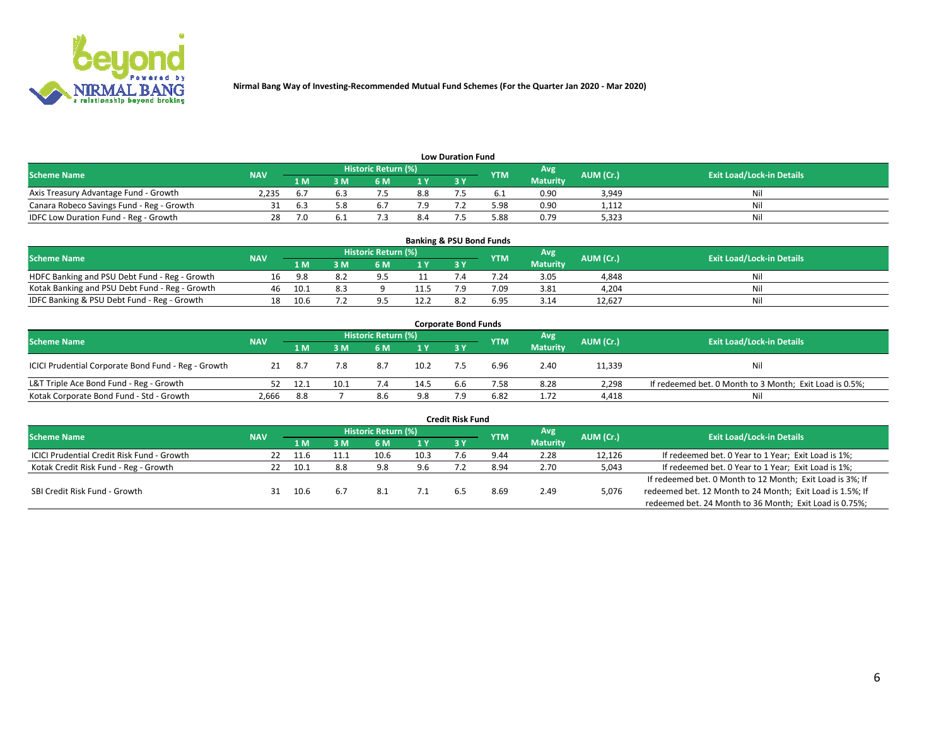

| <b>Low Duration Fund</b>                  |            |            |     |                            |     |  |            |                 |           |                                  |  |  |  |
|-------------------------------------------|------------|------------|-----|----------------------------|-----|--|------------|-----------------|-----------|----------------------------------|--|--|--|
| <b>Scheme Name</b>                        | <b>NAV</b> |            |     | <b>Historic Return (%)</b> |     |  | <b>YTM</b> | Avg             | AUM (Cr.) | <b>Exit Load/Lock-in Details</b> |  |  |  |
|                                           |            | 1 M        | ያ M | 5 M                        | 1 V |  |            | <b>Maturity</b> |           |                                  |  |  |  |
| Axis Treasury Advantage Fund - Growth     | 2.235      |            |     |                            | 8.8 |  |            | 0.90            | 3,949     | Nil                              |  |  |  |
| Canara Robeco Savings Fund - Reg - Growth |            | <b>b.3</b> |     | <b>b.</b>                  |     |  | 5.98       | 0.90            | 1,112     | Nil                              |  |  |  |
| IDFC Low Duration Fund - Reg - Growth     |            |            |     |                            | 8.4 |  | 5.88       | 0.79            | 5,323     | Nil                              |  |  |  |

| <b>Banking &amp; PSU Bond Funds</b>            |            |      |    |                            |      |           |            |                 |           |                                  |  |  |  |
|------------------------------------------------|------------|------|----|----------------------------|------|-----------|------------|-----------------|-----------|----------------------------------|--|--|--|
| <b>Scheme Name</b>                             | <b>NAV</b> |      |    | <b>Historic Return (%)</b> |      |           | <b>YTM</b> | Avg             | AUM (Cr.) | <b>Exit Load/Lock-in Details</b> |  |  |  |
|                                                |            | 1 M  | sм | 6 M                        |      | <b>3Y</b> |            | <b>Maturity</b> |           |                                  |  |  |  |
| HDFC Banking and PSU Debt Fund - Reg - Growth  | 16         | 9.8  |    |                            |      |           | 7.24       | 3.05            | 4,848     | Ni                               |  |  |  |
| Kotak Banking and PSU Debt Fund - Reg - Growth | 46         | 10.1 |    |                            | 11.5 |           | 7.09       | 3.81            | 4,204     | Ni                               |  |  |  |
| IDFC Banking & PSU Debt Fund - Reg - Growth    |            | 10.6 |    |                            | 12.2 | R.        | 6.95       | 3.14            | 12.627    | Ni                               |  |  |  |

| <b>Corporate Bond Funds</b>                         |            |      |      |                     |      |     |            |                 |           |                                                         |  |  |  |  |
|-----------------------------------------------------|------------|------|------|---------------------|------|-----|------------|-----------------|-----------|---------------------------------------------------------|--|--|--|--|
| <b>Scheme Name</b>                                  | <b>NAV</b> |      |      | Historic Return (%) |      |     | <b>YTM</b> | Avg             | AUM (Cr.) | <b>Exit Load/Lock-in Details</b>                        |  |  |  |  |
|                                                     |            | 1 M  | IM   | 6 M                 | 1 Y  | 3 Y |            | <b>Maturity</b> |           |                                                         |  |  |  |  |
| ICICI Prudential Corporate Bond Fund - Reg - Growth | 21         | -8.7 | 7.8  | 8.7                 | 10.2 |     | 6.96       | 2.40            | 11,339    | Nil                                                     |  |  |  |  |
| L&T Triple Ace Bond Fund - Reg - Growth             |            | 12.1 | 10.1 |                     | 14.5 | 6.6 | 7.58       | 8.28            | 2,298     | If redeemed bet. 0 Month to 3 Month; Exit Load is 0.5%; |  |  |  |  |
| Kotak Corporate Bond Fund - Std - Growth            | 2,666      | 8.8  |      | 8.6                 | 9.8  |     | 6.82       | 1.72            | 4,418     | Nil                                                     |  |  |  |  |

| <b>Credit Risk Fund</b>                    |            |      |      |                     |      |    |            |                 |           |                                                           |  |  |  |
|--------------------------------------------|------------|------|------|---------------------|------|----|------------|-----------------|-----------|-----------------------------------------------------------|--|--|--|
| <b>Scheme Name</b>                         | <b>NAV</b> |      |      | Historic Return (%) |      |    | <b>YTM</b> | Avg             | AUM (Cr.) | <b>Exit Load/Lock-in Details</b>                          |  |  |  |
|                                            |            | 1 M  | : M  | '6 M                | 1 Y  | 3Y |            | <b>Maturity</b> |           |                                                           |  |  |  |
| ICICI Prudential Credit Risk Fund - Growth | 22         | 11.6 | 11.1 | 10.6                | 10.3 |    | 9.44       | 2.28            | 12,126    | If redeemed bet. 0 Year to 1 Year; Exit Load is 1%;       |  |  |  |
| Kotak Credit Risk Fund - Reg - Growth      |            | 10.1 | 8.8  | 9.8                 | 9.6  |    | 8.94       | 2.70            | 5,043     | If redeemed bet. 0 Year to 1 Year; Exit Load is 1%;       |  |  |  |
|                                            |            |      |      |                     |      |    |            |                 |           | If redeemed bet. 0 Month to 12 Month; Exit Load is 3%; If |  |  |  |
| SBI Credit Risk Fund - Growth              |            | 10.6 | 6.7  | 8.1                 |      | h. | 8.69       | 2.49            | 5,076     | redeemed bet. 12 Month to 24 Month; Exit Load is 1.5%; If |  |  |  |
|                                            |            |      |      |                     |      |    |            |                 |           | redeemed bet. 24 Month to 36 Month; Exit Load is 0.75%;   |  |  |  |